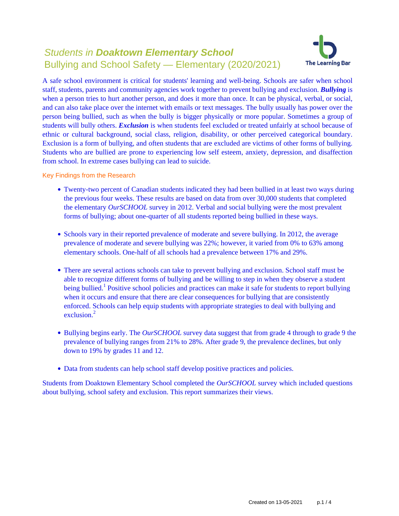# Students in **Doaktown Elementary School** Bullying and School Safety — Elementary (2020/2021)



A safe school environment is critical for students' learning and well-being. Schools are safer when school staff, students, parents and community agencies work together to prevent bullying and exclusion. *Bullying* is when a person tries to hurt another person, and does it more than once. It can be physical, verbal, or social, and can also take place over the internet with emails or text messages. The bully usually has power over the person being bullied, such as when the bully is bigger physically or more popular. Sometimes a group of students will bully others. *Exclusion* is when students feel excluded or treated unfairly at school because of ethnic or cultural background, social class, religion, disability, or other perceived categorical boundary. Exclusion is a form of bullying, and often students that are excluded are victims of other forms of bullying. Students who are bullied are prone to experiencing low self esteem, anxiety, depression, and disaffection from school. In extreme cases bullying can lead to suicide.

Key Findings from the Research

- Twenty-two percent of Canadian students indicated they had been bullied in at least two ways during the previous four weeks. These results are based on data from over 30,000 students that completed the elementary *OurSCHOOL* survey in 2012. Verbal and social bullying were the most prevalent forms of bullying; about one-quarter of all students reported being bullied in these ways.
- Schools vary in their reported prevalence of moderate and severe bullying. In 2012, the average prevalence of moderate and severe bullying was 22%; however, it varied from 0% to 63% among elementary schools. One-half of all schools had a prevalence between 17% and 29%.
- There are several actions schools can take to prevent bullying and exclusion. School staff must be able to recognize different forms of bullying and be willing to step in when they observe a student being bullied.<sup>1</sup> Positive school policies and practices can make it safe for students to report bullying when it occurs and ensure that there are clear consequences for bullying that are consistently enforced. Schools can help equip students with appropriate strategies to deal with bullying and exclusion $^2$
- Bullying begins early. The *OurSCHOOL* survey data suggest that from grade 4 through to grade 9 the prevalence of bullying ranges from 21% to 28%. After grade 9, the prevalence declines, but only down to 19% by grades 11 and 12.
- Data from students can help school staff develop positive practices and policies.

Students from Doaktown Elementary School completed the *OurSCHOOL* survey which included questions about bullying, school safety and exclusion. This report summarizes their views.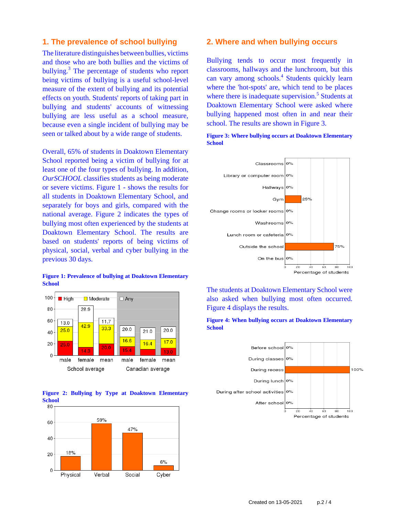### **1. The prevalence of school bullying**

The literature distinguishes between bullies, victims and those who are both bullies and the victims of bullying.<sup>3</sup> The percentage of students who report being victims of bullying is a useful school-level measure of the extent of bullying and its potential effects on youth. Students' reports of taking part in bullying and students' accounts of witnessing bullying are less useful as a school measure, because even a single incident of bullying may be seen or talked about by a wide range of students.

Overall, 65% of students in Doaktown Elementary School reported being a victim of bullying for at least one of the four types of bullying. In addition, *OurSCHOOL* classifies students as being moderate or severe victims. Figure 1 - shows the results for all students in Doaktown Elementary School, and separately for boys and girls, compared with the national average. Figure 2 indicates the types of bullying most often experienced by the students at Doaktown Elementary School. The results are based on students' reports of being victims of physical, social, verbal and cyber bullying in the previous 30 days.

#### **Figure 1: Prevalence of bullying at Doaktown Elementary School**







### **2. Where and when bullying occurs**

Bullying tends to occur most frequently in classrooms, hallways and the lunchroom, but this can vary among schools.<sup>4</sup> Students quickly learn where the 'hot-spots' are, which tend to be places where there is inadequate supervision.<sup>5</sup> Students at Doaktown Elementary School were asked where bullying happened most often in and near their school. The results are shown in Figure 3.

**Figure 3: Where bullying occurs at Doaktown Elementary School**



The students at Doaktown Elementary School were also asked when bullying most often occurred. Figure 4 displays the results.



**Figure 4: When bullying occurs at Doaktown Elementary School**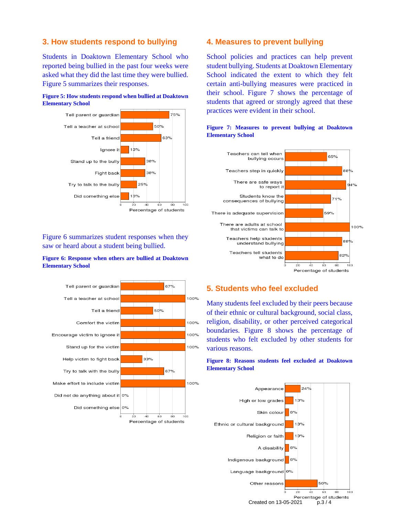# **3. How students respond to bullying**

Students in Doaktown Elementary School who reported being bullied in the past four weeks were asked what they did the last time they were bullied. Figure 5 summarizes their responses.





Figure 6 summarizes student responses when they saw or heard about a student being bullied.

### **Figure 6: Response when others are bullied at Doaktown Elementary School**



### **4. Measures to prevent bullying**

School policies and practices can help prevent student bullying. Students at Doaktown Elementary School indicated the extent to which they felt certain anti-bullying measures were practiced in their school. Figure 7 shows the percentage of students that agreed or strongly agreed that these practices were evident in their school.



### **Figure 7: Measures to prevent bullying at Doaktown Elementary School**

# **5. Students who feel excluded**

Many students feel excluded by their peers because of their ethnic or cultural background, social class, religion, disability, or other perceived categorical boundaries. Figure 8 shows the percentage of students who felt excluded by other students for various reasons.

### **Figure 8: Reasons students feel excluded at Doaktown Elementary School**